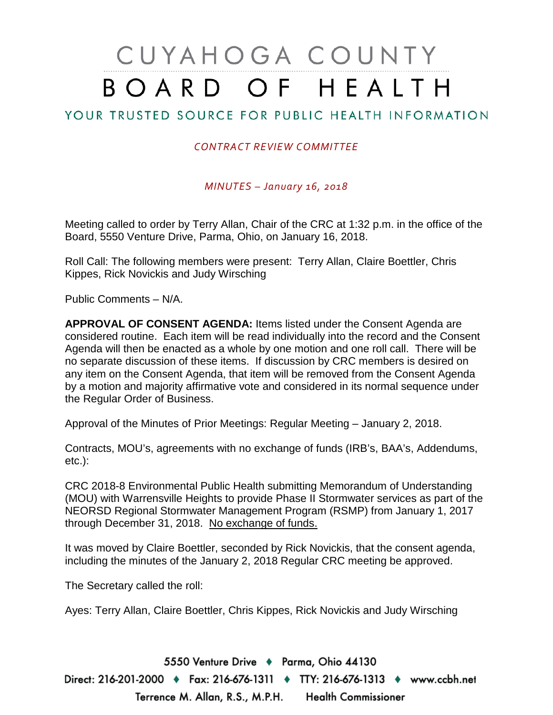# CUYAHOGA COUNTY BOARD OF HEALTH

## YOUR TRUSTED SOURCE FOR PUBLIC HEALTH INFORMATION

#### *CONTRACT REVIEW COMMITTEE*

*MINUTES – January 16, 2018*

Meeting called to order by Terry Allan, Chair of the CRC at 1:32 p.m. in the office of the Board, 5550 Venture Drive, Parma, Ohio, on January 16, 2018.

Roll Call: The following members were present: Terry Allan, Claire Boettler, Chris Kippes, Rick Novickis and Judy Wirsching

Public Comments – N/A.

**APPROVAL OF CONSENT AGENDA:** Items listed under the Consent Agenda are considered routine. Each item will be read individually into the record and the Consent Agenda will then be enacted as a whole by one motion and one roll call. There will be no separate discussion of these items. If discussion by CRC members is desired on any item on the Consent Agenda, that item will be removed from the Consent Agenda by a motion and majority affirmative vote and considered in its normal sequence under the Regular Order of Business.

Approval of the Minutes of Prior Meetings: Regular Meeting – January 2, 2018.

Contracts, MOU's, agreements with no exchange of funds (IRB's, BAA's, Addendums, etc.):

CRC 2018-8 Environmental Public Health submitting Memorandum of Understanding (MOU) with Warrensville Heights to provide Phase II Stormwater services as part of the NEORSD Regional Stormwater Management Program (RSMP) from January 1, 2017 through December 31, 2018. No exchange of funds.

It was moved by Claire Boettler, seconded by Rick Novickis, that the consent agenda, including the minutes of the January 2, 2018 Regular CRC meeting be approved.

The Secretary called the roll:

Ayes: Terry Allan, Claire Boettler, Chris Kippes, Rick Novickis and Judy Wirsching

5550 Venture Drive + Parma, Ohio 44130 Direct: 216-201-2000 ♦ Fax: 216-676-1311 ♦ TTY: 216-676-1313 ♦ www.ccbh.net Terrence M. Allan, R.S., M.P.H. Health Commissioner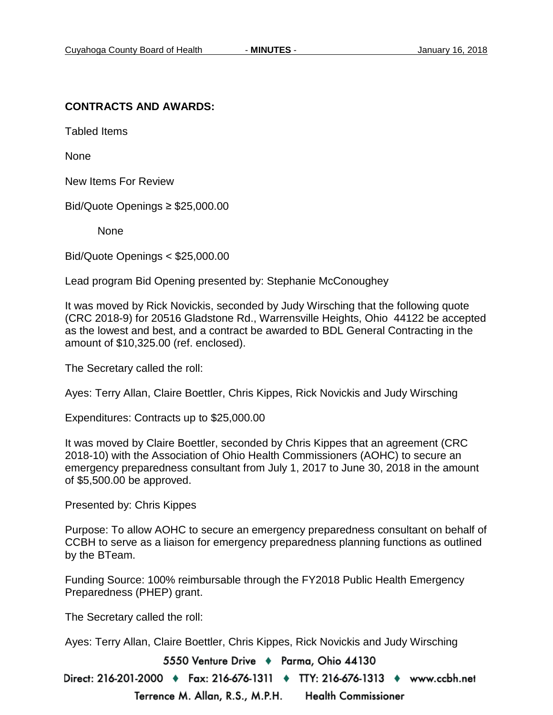### **CONTRACTS AND AWARDS:**

Tabled Items

None

New Items For Review

Bid/Quote Openings ≥ \$25,000.00

None

Bid/Quote Openings < \$25,000.00

Lead program Bid Opening presented by: Stephanie McConoughey

It was moved by Rick Novickis, seconded by Judy Wirsching that the following quote (CRC 2018-9) for 20516 Gladstone Rd., Warrensville Heights, Ohio 44122 be accepted as the lowest and best, and a contract be awarded to BDL General Contracting in the amount of \$10,325.00 (ref. enclosed).

The Secretary called the roll:

Ayes: Terry Allan, Claire Boettler, Chris Kippes, Rick Novickis and Judy Wirsching

Expenditures: Contracts up to \$25,000.00

It was moved by Claire Boettler, seconded by Chris Kippes that an agreement (CRC 2018-10) with the Association of Ohio Health Commissioners (AOHC) to secure an emergency preparedness consultant from July 1, 2017 to June 30, 2018 in the amount of \$5,500.00 be approved.

Presented by: Chris Kippes

Purpose: To allow AOHC to secure an emergency preparedness consultant on behalf of CCBH to serve as a liaison for emergency preparedness planning functions as outlined by the BTeam.

Funding Source: 100% reimbursable through the FY2018 Public Health Emergency Preparedness (PHEP) grant.

The Secretary called the roll:

Ayes: Terry Allan, Claire Boettler, Chris Kippes, Rick Novickis and Judy Wirsching

5550 Venture Drive + Parma, Ohio 44130

Direct: 216-201-2000 ♦ Fax: 216-676-1311 ♦ TTY: 216-676-1313 ♦ www.ccbh.net Terrence M. Allan, R.S., M.P.H. **Health Commissioner**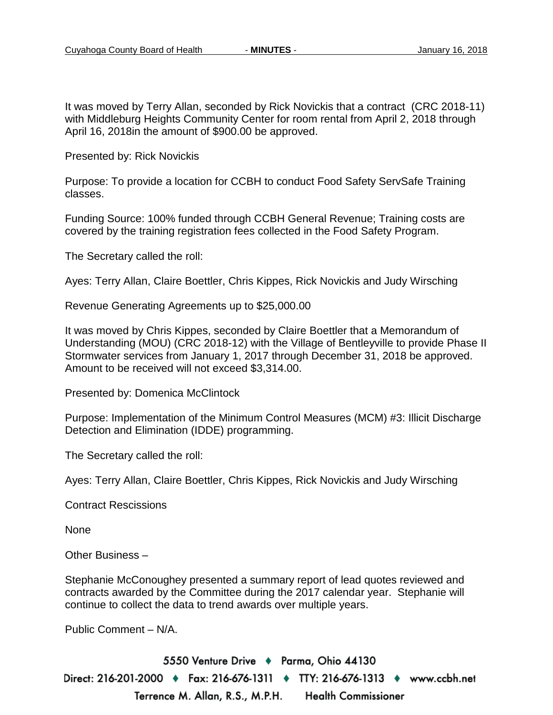It was moved by Terry Allan, seconded by Rick Novickis that a contract (CRC 2018-11) with Middleburg Heights Community Center for room rental from April 2, 2018 through April 16, 2018in the amount of \$900.00 be approved.

Presented by: Rick Novickis

Purpose: To provide a location for CCBH to conduct Food Safety ServSafe Training classes.

Funding Source: 100% funded through CCBH General Revenue; Training costs are covered by the training registration fees collected in the Food Safety Program.

The Secretary called the roll:

Ayes: Terry Allan, Claire Boettler, Chris Kippes, Rick Novickis and Judy Wirsching

Revenue Generating Agreements up to \$25,000.00

It was moved by Chris Kippes, seconded by Claire Boettler that a Memorandum of Understanding (MOU) (CRC 2018-12) with the Village of Bentleyville to provide Phase II Stormwater services from January 1, 2017 through December 31, 2018 be approved. Amount to be received will not exceed \$3,314.00.

Presented by: Domenica McClintock

Purpose: Implementation of the Minimum Control Measures (MCM) #3: Illicit Discharge Detection and Elimination (IDDE) programming.

The Secretary called the roll:

Ayes: Terry Allan, Claire Boettler, Chris Kippes, Rick Novickis and Judy Wirsching

Contract Rescissions

None

Other Business –

Stephanie McConoughey presented a summary report of lead quotes reviewed and contracts awarded by the Committee during the 2017 calendar year. Stephanie will continue to collect the data to trend awards over multiple years.

Public Comment – N/A.

5550 Venture Drive + Parma, Ohio 44130 Direct: 216-201-2000 ♦ Fax: 216-676-1311 ♦ TTY: 216-676-1313 ♦ www.ccbh.net Terrence M. Allan, R.S., M.P.H. **Health Commissioner**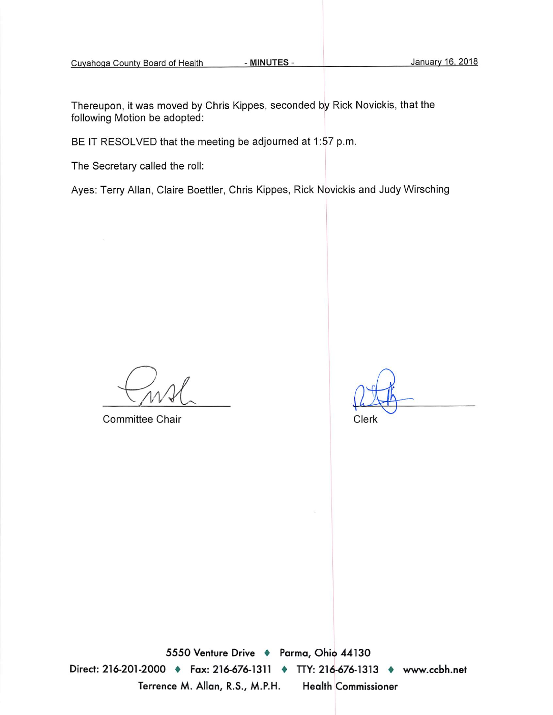- MINUTES -

Thereupon, it was moved by Chris Kippes, seconded by Rick Novickis, that the following Motion be adopted:

BE IT RESOLVED that the meeting be adjourned at 1:57 p.m.

The Secretary called the roll:

Ayes: Terry Allan, Claire Boettler, Chris Kippes, Rick Novickis and Judy Wirsching

**Committee Chair** 

Clerk

5550 Venture Drive + Parma, Ohio 44130 Direct: 216-201-2000 • Fax: 216-676-1311 • TTY: 216-676-1313 • www.ccbh.net Terrence M. Allan, R.S., M.P.H. Health Commissioner